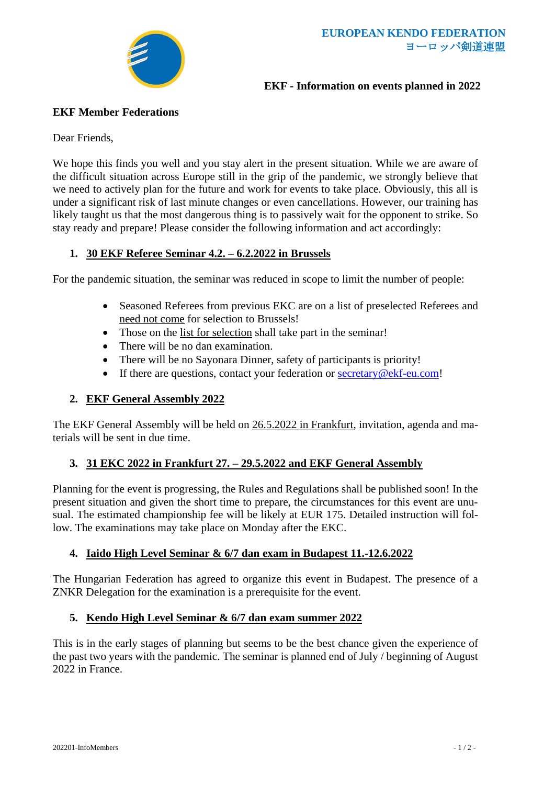

## **EKF - Information on events planned in 2022**

## **EKF Member Federations**

Dear Friends,

We hope this finds you well and you stay alert in the present situation. While we are aware of the difficult situation across Europe still in the grip of the pandemic, we strongly believe that we need to actively plan for the future and work for events to take place. Obviously, this all is under a significant risk of last minute changes or even cancellations. However, our training has likely taught us that the most dangerous thing is to passively wait for the opponent to strike. So stay ready and prepare! Please consider the following information and act accordingly:

### **1. 30 EKF Referee Seminar 4.2. – 6.2.2022 in Brussels**

For the pandemic situation, the seminar was reduced in scope to limit the number of people:

- Seasoned Referees from previous EKC are on a list of preselected Referees and need not come for selection to Brussels!
- Those on the list for selection shall take part in the seminar!
- There will be no dan examination.
- There will be no Sayonara Dinner, safety of participants is priority!
- If there are questions, contact your federation or [secretary@ekf-eu.com!](mailto:secretary@ekf-eu.com)

## **2. EKF General Assembly 2022**

The EKF General Assembly will be held on 26.5.2022 in Frankfurt, invitation, agenda and materials will be sent in due time.

# **3. 31 EKC 2022 in Frankfurt 27. – 29.5.2022 and EKF General Assembly**

Planning for the event is progressing, the Rules and Regulations shall be published soon! In the present situation and given the short time to prepare, the circumstances for this event are unusual. The estimated championship fee will be likely at EUR 175. Detailed instruction will follow. The examinations may take place on Monday after the EKC.

# **4. Iaido High Level Seminar & 6/7 dan exam in Budapest 11.-12.6.2022**

The Hungarian Federation has agreed to organize this event in Budapest. The presence of a ZNKR Delegation for the examination is a prerequisite for the event.

#### **5. Kendo High Level Seminar & 6/7 dan exam summer 2022**

This is in the early stages of planning but seems to be the best chance given the experience of the past two years with the pandemic. The seminar is planned end of July / beginning of August 2022 in France.